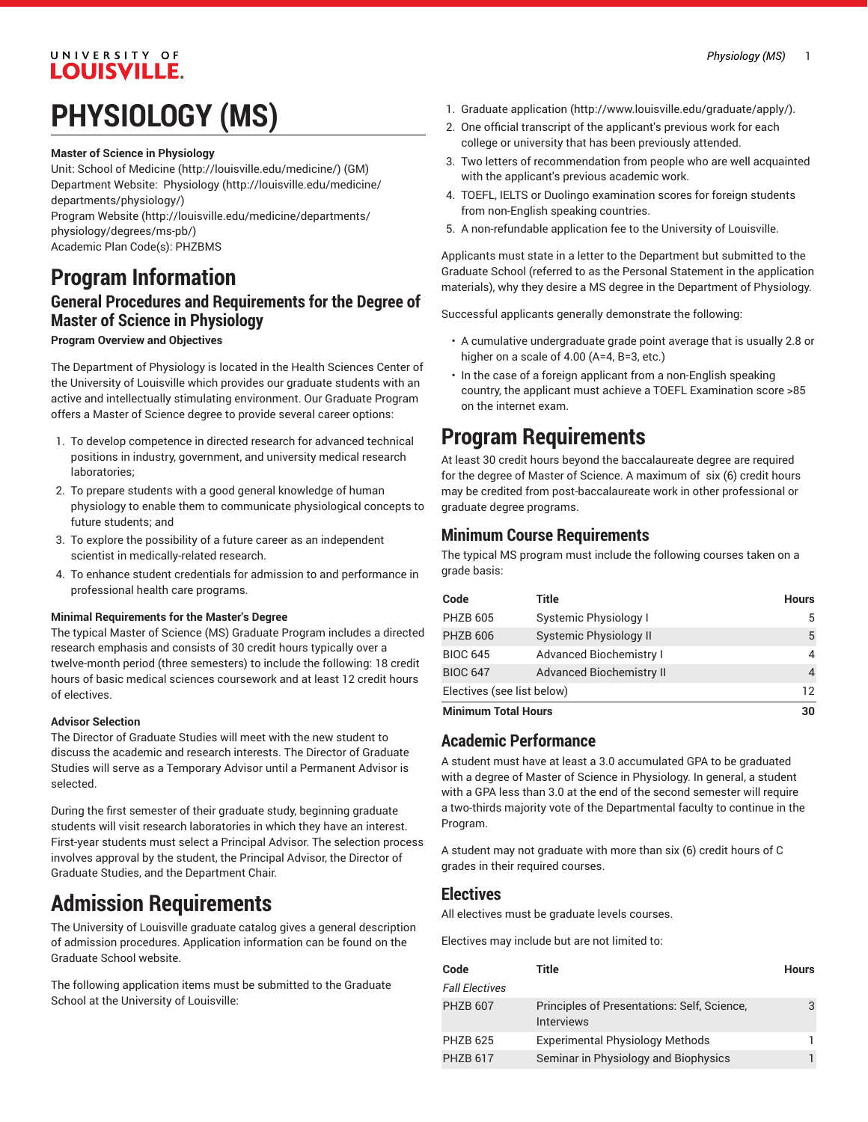## UNIVERSITY OF **LOUISVILLE.**

# **PHYSIOLOGY (MS)**

### **Master of Science in Physiology**

Unit: [School of Medicine \(http://louisville.edu/medicine/\)](http://louisville.edu/medicine/) (GM) Department Website: [Physiology](http://louisville.edu/medicine/departments/physiology/) ([http://louisville.edu/medicine/](http://louisville.edu/medicine/departments/physiology/) [departments/physiology/\)](http://louisville.edu/medicine/departments/physiology/)

[Program](http://louisville.edu/medicine/departments/physiology/degrees/ms-pb/) Website [\(http://louisville.edu/medicine/departments/](http://louisville.edu/medicine/departments/physiology/degrees/ms-pb/) [physiology/degrees/ms-pb/\)](http://louisville.edu/medicine/departments/physiology/degrees/ms-pb/) Academic Plan Code(s): PHZBMS

**Program Information**

## **General Procedures and Requirements for the Degree of Master of Science in Physiology**

### **Program Overview and Objectives**

The Department of Physiology is located in the Health Sciences Center of the University of Louisville which provides our graduate students with an active and intellectually stimulating environment. Our Graduate Program offers a Master of Science degree to provide several career options:

- 1. To develop competence in directed research for advanced technical positions in industry, government, and university medical research laboratories;
- 2. To prepare students with a good general knowledge of human physiology to enable them to communicate physiological concepts to future students; and
- 3. To explore the possibility of a future career as an independent scientist in medically-related research.
- 4. To enhance student credentials for admission to and performance in professional health care programs.

### **Minimal Requirements for the Master's Degree**

The typical Master of Science (MS) Graduate Program includes a directed research emphasis and consists of 30 credit hours typically over a twelve-month period (three semesters) to include the following: 18 credit hours of basic medical sciences coursework and at least 12 credit hours of electives.

### **Advisor Selection**

The Director of Graduate Studies will meet with the new student to discuss the academic and research interests. The Director of Graduate Studies will serve as a Temporary Advisor until a Permanent Advisor is selected.

During the first semester of their graduate study, beginning graduate students will visit research laboratories in which they have an interest. First-year students must select a Principal Advisor. The selection process involves approval by the student, the Principal Advisor, the Director of Graduate Studies, and the Department Chair.

# **Admission Requirements**

The University of Louisville graduate catalog gives a general description of admission procedures. Application information can be found on the Graduate School website.

The following application items must be submitted to the Graduate School at the University of Louisville:

- 1. [Graduate application](http://www.louisville.edu/graduate/apply/) [\(http://www.louisville.edu/graduate/apply/\)](http://www.louisville.edu/graduate/apply/).
- 2. One official transcript of the applicant's previous work for each college or university that has been previously attended.
- 3. Two letters of recommendation from people who are well acquainted with the applicant's previous academic work.
- 4. TOEFL, IELTS or Duolingo examination scores for foreign students from non-English speaking countries.
- 5. A non-refundable application fee to the University of Louisville.

Applicants must state in a letter to the Department but submitted to the Graduate School (referred to as the Personal Statement in the application materials), why they desire a MS degree in the Department of Physiology.

Successful applicants generally demonstrate the following:

- A cumulative undergraduate grade point average that is usually 2.8 or higher on a scale of 4.00 (A=4, B=3, etc.)
- In the case of a foreign applicant from a non-English speaking country, the applicant must achieve a TOEFL Examination score >85 on the internet exam.

# **Program Requirements**

At least 30 credit hours beyond the baccalaureate degree are required for the degree of Master of Science. A maximum of six (6) credit hours may be credited from post-baccalaureate work in other professional or graduate degree programs.

### **Minimum Course Requirements**

The typical MS program must include the following courses taken on a grade basis:

| Code                       | Title                           | <b>Hours</b> |
|----------------------------|---------------------------------|--------------|
| <b>PHZB 605</b>            | Systemic Physiology I           | 5            |
| <b>PHZB 606</b>            | Systemic Physiology II          | 5            |
| <b>BIOC 645</b>            | <b>Advanced Biochemistry I</b>  | 4            |
| <b>BIOC 647</b>            | <b>Advanced Biochemistry II</b> | 4            |
| Electives (see list below) |                                 | 12           |
| <b>Minimum Total Hours</b> |                                 | 30           |

### **Academic Performance**

A student must have at least a 3.0 accumulated GPA to be graduated with a degree of Master of Science in Physiology. In general, a student with a GPA less than 3.0 at the end of the second semester will require a two-thirds majority vote of the Departmental faculty to continue in the Program.

A student may not graduate with more than six (6) credit hours of C grades in their required courses.

### **Electives**

All electives must be graduate levels courses.

Electives may include but are not limited to:

| Code                  | Title                                                            | <b>Hours</b> |
|-----------------------|------------------------------------------------------------------|--------------|
| <b>Fall Electives</b> |                                                                  |              |
| <b>PHZB 607</b>       | Principles of Presentations: Self, Science,<br><b>Interviews</b> |              |
| <b>PHZB 625</b>       | <b>Experimental Physiology Methods</b>                           |              |
| <b>PHZB 617</b>       | Seminar in Physiology and Biophysics                             |              |